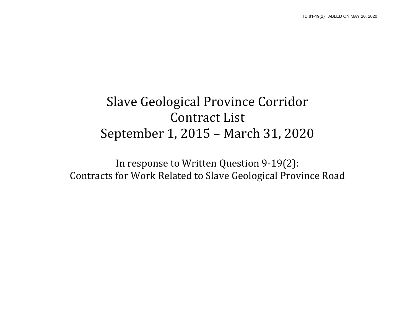## Slave Geological Province Corridor Contract List September 1, 2015 – March 31, 2020

In response to Written Question 9-19(2): Contracts for Work Related to Slave Geological Province Road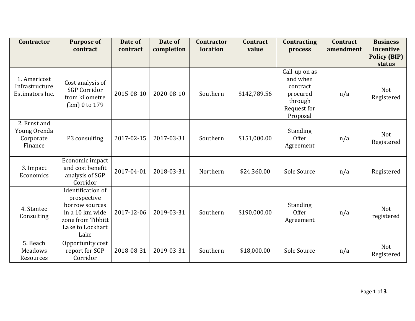| <b>Contractor</b>                                    | <b>Purpose of</b><br>contract                                                                                          | Date of<br>contract | Date of<br>completion | <b>Contractor</b><br>location | <b>Contract</b><br>value | <b>Contracting</b><br>process                                                           | <b>Contract</b><br>amendment | <b>Business</b><br><b>Incentive</b> |
|------------------------------------------------------|------------------------------------------------------------------------------------------------------------------------|---------------------|-----------------------|-------------------------------|--------------------------|-----------------------------------------------------------------------------------------|------------------------------|-------------------------------------|
|                                                      |                                                                                                                        |                     |                       |                               |                          |                                                                                         |                              | <b>Policy (BIP)</b><br>status       |
| 1. Americost<br>Infrastructure<br>Estimators Inc.    | Cost analysis of<br><b>SGP Corridor</b><br>from kilometre<br>(km) 0 to 179                                             | 2015-08-10          | 2020-08-10            | Southern                      | \$142,789.56             | Call-up on as<br>and when<br>contract<br>procured<br>through<br>Request for<br>Proposal | n/a                          | <b>Not</b><br>Registered            |
| 2. Ernst and<br>Young Orenda<br>Corporate<br>Finance | P3 consulting                                                                                                          | 2017-02-15          | 2017-03-31            | Southern                      | \$151,000.00             | Standing<br>Offer<br>Agreement                                                          | n/a                          | <b>Not</b><br>Registered            |
| 3. Impact<br>Economics                               | Economic impact<br>and cost benefit<br>analysis of SGP<br>Corridor                                                     | 2017-04-01          | 2018-03-31            | Northern                      | \$24,360.00              | Sole Source                                                                             | n/a                          | Registered                          |
| 4. Stantec<br>Consulting                             | Identification of<br>prospective<br>borrow sources<br>in a 10 km wide<br>zone from Tibbitt<br>Lake to Lockhart<br>Lake | 2017-12-06          | 2019-03-31            | Southern                      | \$190,000.00             | Standing<br>Offer<br>Agreement                                                          | n/a                          | <b>Not</b><br>registered            |
| 5. Beach<br><b>Meadows</b><br>Resources              | Opportunity cost<br>report for SGP<br>Corridor                                                                         | 2018-08-31          | 2019-03-31            | Southern                      | \$18,000.00              | Sole Source                                                                             | n/a                          | Not<br>Registered                   |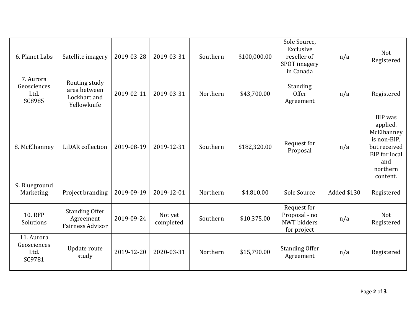| 6. Planet Labs                              | Satellite imagery                                             | 2019-03-28 | 2019-03-31           | Southern | \$100,000.00 | Sole Source,<br>Exclusive<br>reseller of<br>SPOT imagery<br>in Canada | n/a         | <b>Not</b><br>Registered                                                                                                |
|---------------------------------------------|---------------------------------------------------------------|------------|----------------------|----------|--------------|-----------------------------------------------------------------------|-------------|-------------------------------------------------------------------------------------------------------------------------|
| 7. Aurora<br>Geosciences<br>Ltd.<br>SC8985  | Routing study<br>area between<br>Lockhart and<br>Yellowknife  | 2019-02-11 | 2019-03-31           | Northern | \$43,700.00  | Standing<br><b>Offer</b><br>Agreement                                 | n/a         | Registered                                                                                                              |
| 8. McElhanney                               | LiDAR collection                                              | 2019-08-19 | 2019-12-31           | Southern | \$182,320.00 | Request for<br>Proposal                                               | n/a         | BIP was<br>applied.<br>McElhanney<br>is non-BIP,<br>but received<br><b>BIP</b> for local<br>and<br>northern<br>content. |
| 9. Blueground<br>Marketing                  | Project branding                                              | 2019-09-19 | 2019-12-01           | Northern | \$4,810.00   | Sole Source                                                           | Added \$130 | Registered                                                                                                              |
| <b>10. RFP</b><br>Solutions                 | <b>Standing Offer</b><br>Agreement<br><b>Fairness Advisor</b> | 2019-09-24 | Not yet<br>completed | Southern | \$10,375.00  | Request for<br>Proposal - no<br><b>NWT</b> bidders<br>for project     | n/a         | <b>Not</b><br>Registered                                                                                                |
| 11. Aurora<br>Geosciences<br>Ltd.<br>SC9781 | Update route<br>study                                         | 2019-12-20 | 2020-03-31           | Northern | \$15,790.00  | <b>Standing Offer</b><br>Agreement                                    | n/a         | Registered                                                                                                              |